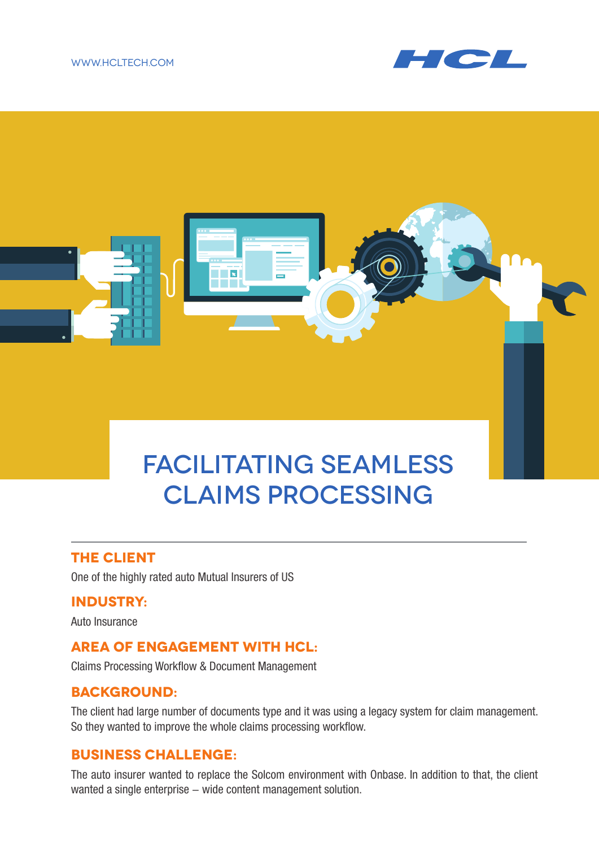#### www.hcltech.com





### **The client**

One of the highly rated auto Mutual Insurers of US

### **Industry:**

Auto Insurance

### **Area of engagement with HCL:**

Claims Processing Workflow & Document Management

### **Background:**

The client had large number of documents type and it was using a legacy system for claim management. So they wanted to improve the whole claims processing workflow.

## **Business Challenge:**

The auto insurer wanted to replace the Solcom environment with Onbase. In addition to that, the client wanted a single enterprise - wide content management solution.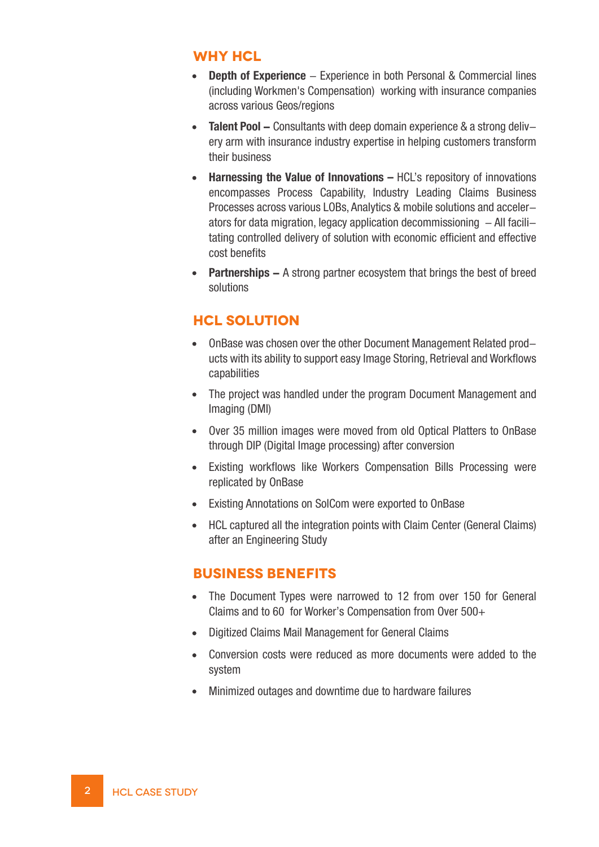### **Why HCL**

- **Depth of Experience** Experience in both Personal & Commercial lines (including Workmen's Compensation) working with insurance companies across various Geos/regions
- **Talent Pool –** Consultants with deep domain experience & a strong deliv–  $\bullet$ ery arm with insurance industry expertise in helping customers transform their business
- **Harnessing the Value of Innovations** HCL's repository of innovations encompasses Process Capability, Industry Leading Claims Business Processes across various LOBs, Analytics & mobile solutions and accelerators for data migration, legacy application decommissioning  $-$  All facilitating controlled delivery of solution with economic efficient and effective cost benefits
- **Partnerships** A strong partner ecosystem that brings the best of breed solutions

# **HCL solution**

- OnBase was chosen over the other Document Management Related products with its ability to support easy Image Storing, Retrieval and Workflows capabilities
- The project was handled under the program Document Management and Imaging (DMI)
- Over 35 million images were moved from old Optical Platters to OnBase through DIP (Digital Image processing) after conversion
- Existing workflows like Workers Compensation Bills Processing were replicated by OnBase
- Existing Annotations on SolCom were exported to OnBase
- HCL captured all the integration points with Claim Center (General Claims) after an Engineering Study

### **Business benefits**

- The Document Types were narrowed to 12 from over 150 for General Claims and to 60 for Worker's Compensation from Over 500+
- Digitized Claims Mail Management for General Claims
- Conversion costs were reduced as more documents were added to the system
- Minimized outages and downtime due to hardware failures